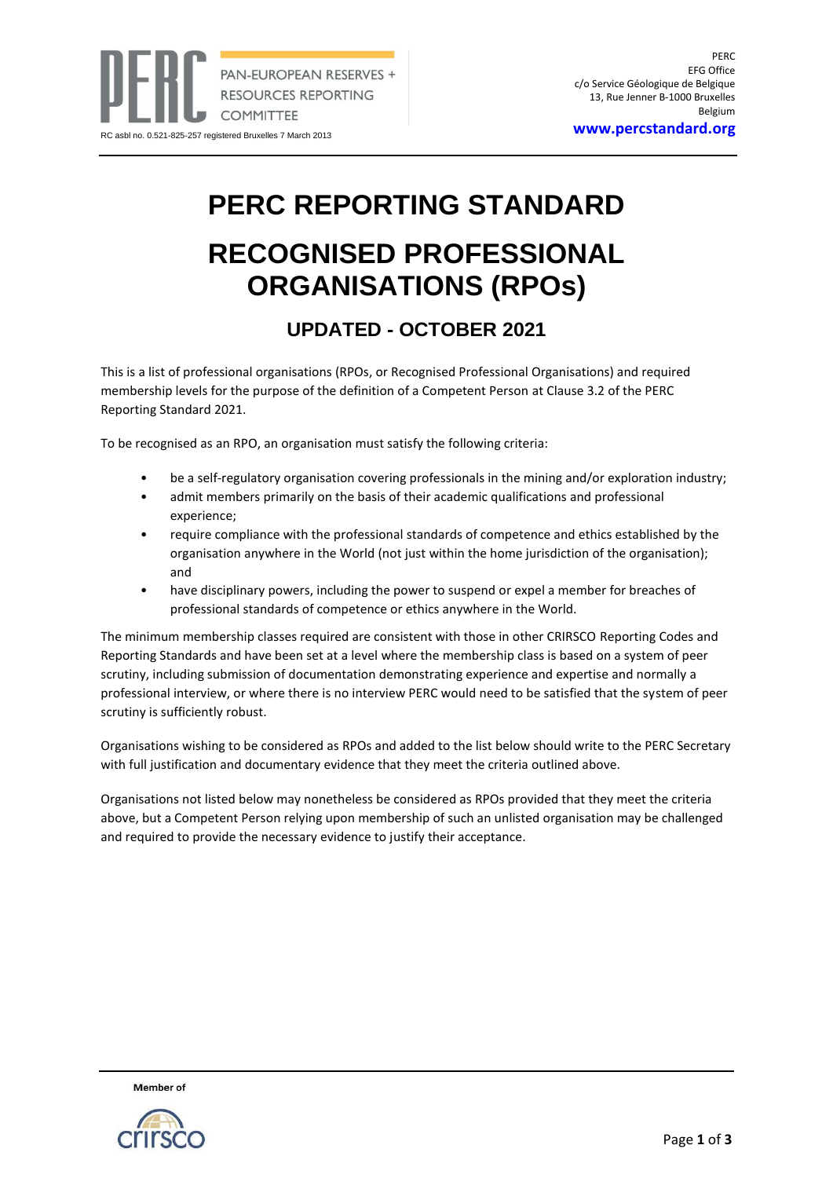**<www.percstandard.org>**

## **PERC REPORTING STANDARD**

## **RECOGNISED PROFESSIONAL ORGANISATIONS (RPOs)**

## **UPDATED - OCTOBER 2021**

This is a list of professional organisations (RPOs, or Recognised Professional Organisations) and required membership levels for the purpose of the definition of a Competent Person at Clause 3.2 of the PERC Reporting Standard 2021.

To be recognised as an RPO, an organisation must satisfy the following criteria:

- be a self-regulatory organisation covering professionals in the mining and/or exploration industry;
- admit members primarily on the basis of their academic qualifications and professional experience;
- require compliance with the professional standards of competence and ethics established by the organisation anywhere in the World (not just within the home jurisdiction of the organisation); and
- have disciplinary powers, including the power to suspend or expel a member for breaches of professional standards of competence or ethics anywhere in the World.

The minimum membership classes required are consistent with those in other CRIRSCO Reporting Codes and Reporting Standards and have been set at a level where the membership class is based on a system of peer scrutiny, including submission of documentation demonstrating experience and expertise and normally a professional interview, or where there is no interview PERC would need to be satisfied that the system of peer scrutiny is sufficiently robust.

Organisations wishing to be considered as RPOs and added to the list below should write to the PERC Secretary with full justification and documentary evidence that they meet the criteria outlined above.

Organisations not listed below may nonetheless be considered as RPOs provided that they meet the criteria above, but a Competent Person relying upon membership of such an unlisted organisation may be challenged and required to provide the necessary evidence to justify their acceptance.



**Member** of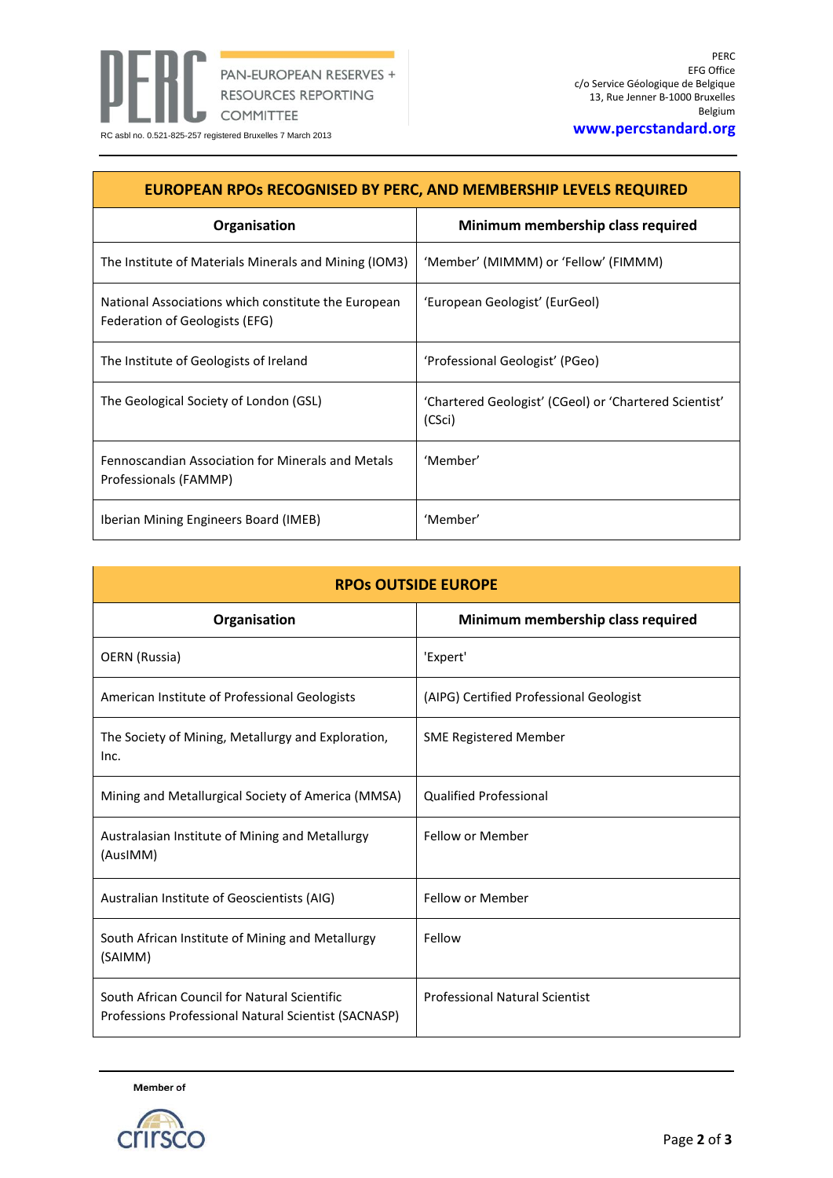

| <b>EUROPEAN RPOS RECOGNISED BY PERC, AND MEMBERSHIP LEVELS REQUIRED</b>               |                                                                  |  |
|---------------------------------------------------------------------------------------|------------------------------------------------------------------|--|
| Organisation                                                                          | Minimum membership class required                                |  |
| The Institute of Materials Minerals and Mining (IOM3)                                 | 'Member' (MIMMM) or 'Fellow' (FIMMM)                             |  |
| National Associations which constitute the European<br>Federation of Geologists (EFG) | 'European Geologist' (EurGeol)                                   |  |
| The Institute of Geologists of Ireland                                                | 'Professional Geologist' (PGeo)                                  |  |
| The Geological Society of London (GSL)                                                | 'Chartered Geologist' (CGeol) or 'Chartered Scientist'<br>(CSci) |  |
| Fennoscandian Association for Minerals and Metals<br>Professionals (FAMMP)            | 'Member'                                                         |  |
| Iberian Mining Engineers Board (IMEB)                                                 | 'Member'                                                         |  |

| <b>RPOS OUTSIDE EUROPE</b>                                                                           |                                         |  |
|------------------------------------------------------------------------------------------------------|-----------------------------------------|--|
| Organisation                                                                                         | Minimum membership class required       |  |
| OERN (Russia)                                                                                        | 'Expert'                                |  |
| American Institute of Professional Geologists                                                        | (AIPG) Certified Professional Geologist |  |
| The Society of Mining, Metallurgy and Exploration,<br>Inc.                                           | <b>SME Registered Member</b>            |  |
| Mining and Metallurgical Society of America (MMSA)                                                   | <b>Qualified Professional</b>           |  |
| Australasian Institute of Mining and Metallurgy<br>(AusIMM)                                          | Fellow or Member                        |  |
| Australian Institute of Geoscientists (AIG)                                                          | Fellow or Member                        |  |
| South African Institute of Mining and Metallurgy<br>(SAIMM)                                          | Fellow                                  |  |
| South African Council for Natural Scientific<br>Professions Professional Natural Scientist (SACNASP) | <b>Professional Natural Scientist</b>   |  |

Member of